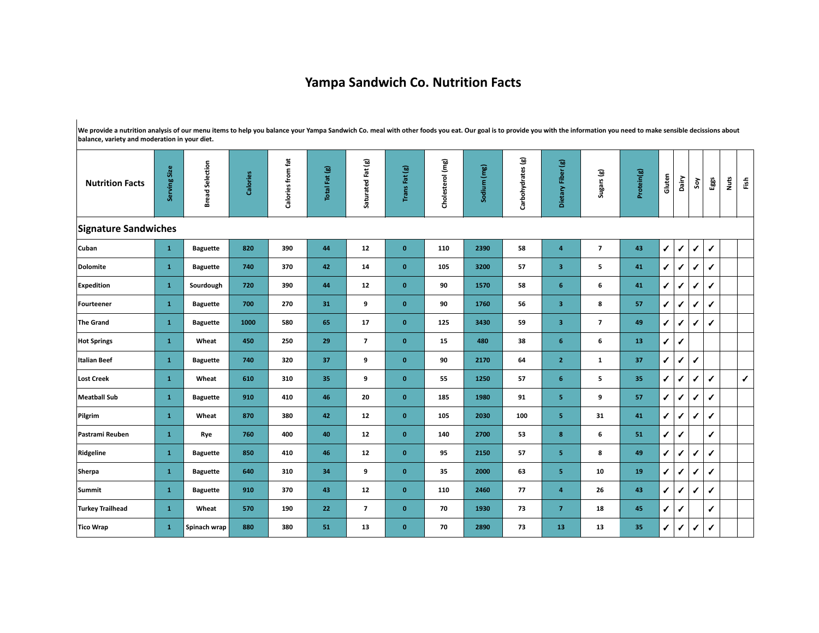## **Yampa Sandwich Co. Nutrition Facts**

**We provide a nutrition analysis of our menu items to help you balance your Yampa Sandwich Co. meal with other foods you eat. Our goal is to provide you with the information you need to make sensible decissions about balance, variety and moderation in your diet.**

| <b>Nutrition Facts</b>  | Serving Size | <b>Bread Selection</b> | Calories | Calories from fat | Total Fat (g) | Saturated Fat (g)       | Trans Fat (g) | Cholesterol (mg) | Sodium (mg) | Carbohydrates (g) | Dietary Fiber (g)       | Sugars (g)               | Protein(g) | Gluten        | Dairy        | Soy          | Eggs         | Nuts | Fish |
|-------------------------|--------------|------------------------|----------|-------------------|---------------|-------------------------|---------------|------------------|-------------|-------------------|-------------------------|--------------------------|------------|---------------|--------------|--------------|--------------|------|------|
| Signature Sandwiches    |              |                        |          |                   |               |                         |               |                  |             |                   |                         |                          |            |               |              |              |              |      |      |
| <b>Cuban</b>            | $\mathbf{1}$ | <b>Baguette</b>        | 820      | 390               | 44            | 12                      | $\mathbf 0$   | 110              | 2390        | 58                | $\overline{\mathbf{4}}$ | $\overline{\phantom{a}}$ | 43         | $\sqrt{2}$    | ✔            | ✔            | $\sqrt{2}$   |      |      |
| Dolomite                | $\mathbf 1$  | <b>Baguette</b>        | 740      | 370               | 42            | 14                      | $\bf{0}$      | 105              | 3200        | 57                | 3                       | 5                        | 41         | $\sqrt{2}$    | $\checkmark$ | ✔            | $\checkmark$ |      |      |
| <b>Expedition</b>       | $\mathbf{1}$ | Sourdough              | 720      | 390               | 44            | 12                      | $\mathbf 0$   | 90               | 1570        | 58                | 6                       | 6                        | 41         | $\checkmark$  | ✔            | ✔            | $\checkmark$ |      |      |
| Fourteener              | $\mathbf{1}$ | <b>Baguette</b>        | 700      | 270               | 31            | 9                       | $\bf{0}$      | 90               | 1760        | 56                | 3                       | 8                        | 57         | $\checkmark$  | $\checkmark$ | ✔            | $\checkmark$ |      |      |
| The Grand               | $\mathbf{1}$ | <b>Baguette</b>        | 1000     | 580               | 65            | 17                      | $\bf{0}$      | 125              | 3430        | 59                | $\overline{\mathbf{3}}$ | $\overline{\mathbf{z}}$  | 49         | $\checkmark$  | ✔            | ✔            | $\checkmark$ |      |      |
| <b>Hot Springs</b>      | $\mathbf 1$  | Wheat                  | 450      | 250               | 29            | $\overline{\mathbf{z}}$ | $\mathbf 0$   | 15               | 480         | 38                | 6                       | 6                        | 13         | $\checkmark$  | ✔            |              |              |      |      |
| Italian Beef            | $\mathbf{1}$ | <b>Baguette</b>        | 740      | 320               | 37            | 9                       | $\bf{0}$      | 90               | 2170        | 64                | $\overline{2}$          | $\mathbf{1}$             | 37         | $\checkmark$  | $\checkmark$ | ✔            |              |      |      |
| Lost Creek              | $\mathbf{1}$ | Wheat                  | 610      | 310               | 35            | 9                       | $\bf{0}$      | 55               | 1250        | 57                | 6                       | 5                        | 35         | $\sqrt{2}$    | ✔            | ✔            | $\checkmark$ |      | ✔    |
| <b>Meatball Sub</b>     | $\mathbf 1$  | <b>Baguette</b>        | 910      | 410               | 46            | 20                      | $\bf{0}$      | 185              | 1980        | 91                | 5                       | 9                        | 57         | $\checkmark$  | $\checkmark$ | ✔            | $\checkmark$ |      |      |
| Pilgrim                 | $\mathbf{1}$ | Wheat                  | 870      | 380               | 42            | 12                      | $\bf{0}$      | 105              | 2030        | 100               | 5                       | 31                       | 41         | $\mathcal{L}$ | ✔            | ✔            | $\checkmark$ |      |      |
| Pastrami Reuben         | $\mathbf{1}$ | Rye                    | 760      | 400               | 40            | 12                      | $\bf{0}$      | 140              | 2700        | 53                | 8                       | 6                        | 51         | $\sqrt{2}$    | ✔            |              | $\checkmark$ |      |      |
| Ridgeline               | $\mathbf 1$  | <b>Baguette</b>        | 850      | 410               | 46            | $12$                    | $\mathbf 0$   | 95               | 2150        | 57                | 5                       | 8                        | 49         | $\checkmark$  | ✔            | ✔            | ✔            |      |      |
| Sherpa                  | $\mathbf{1}$ | <b>Baguette</b>        | 640      | 310               | 34            | 9                       | $\bf{0}$      | 35               | 2000        | 63                | 5                       | 10                       | 19         | $\sqrt{2}$    | ✔            | ✔            | $\checkmark$ |      |      |
| Summit                  | $\mathbf{1}$ | <b>Baguette</b>        | 910      | 370               | 43            | $12$                    | $\bf{0}$      | 110              | 2460        | 77                | $\overline{4}$          | 26                       | 43         | $\checkmark$  | $\checkmark$ | ✔            | $\checkmark$ |      |      |
| <b>Turkey Trailhead</b> | $\mathbf 1$  | Wheat                  | 570      | 190               | 22            | $\overline{\mathbf{z}}$ | $\pmb{0}$     | 70               | 1930        | 73                | $\overline{7}$          | 18                       | 45         | $\sqrt{2}$    | ✔            |              | ✔            |      |      |
| Tico Wrap               | $\mathbf{1}$ | Spinach wrap           | 880      | 380               | 51            | 13                      | $\bf{0}$      | 70               | 2890        | 73                | 13                      | 13                       | 35         | $\checkmark$  | $\checkmark$ | $\checkmark$ | $\checkmark$ |      |      |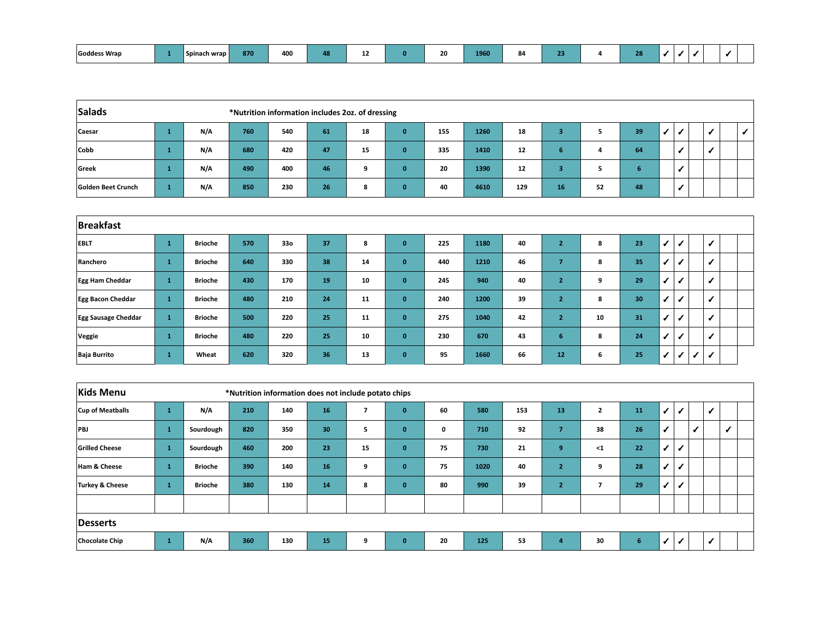| Goddess Wrap |  | Spinach wrap | 870 | 400 | 48. |  |  | 20 | 1960 |  |  |  | 28 |  |  |  |  |  |  |
|--------------|--|--------------|-----|-----|-----|--|--|----|------|--|--|--|----|--|--|--|--|--|--|
|--------------|--|--------------|-----|-----|-----|--|--|----|------|--|--|--|----|--|--|--|--|--|--|

| Salads             | *Nutrition information includes 2oz. of dressing |     |     |     |    |    |          |     |      |     |    |    |    |  |  |  |  |
|--------------------|--------------------------------------------------|-----|-----|-----|----|----|----------|-----|------|-----|----|----|----|--|--|--|--|
| Caesar             |                                                  | N/A | 760 | 540 | 61 | 18 | $\bf{0}$ | 155 | 1260 | 18  |    |    | 39 |  |  |  |  |
| <b>Cobb</b>        |                                                  | N/A | 680 | 420 | 47 | 15 | $\bf{0}$ | 335 | 1410 | 12  | ь  | 4  | 64 |  |  |  |  |
| Greek              |                                                  | N/A | 490 | 400 | 46 | 9  | 0        | 20  | 1390 | 12  |    |    |    |  |  |  |  |
| Golden Beet Crunch |                                                  | N/A | 850 | 230 | 26 | 8  | 0        | 40  | 4610 | 129 | 16 | 52 | 48 |  |  |  |  |

| <b>Breakfast</b>           |              |                |     |     |    |    |              |     |      |    |                |    |                 |              |                 |              |              |  |
|----------------------------|--------------|----------------|-----|-----|----|----|--------------|-----|------|----|----------------|----|-----------------|--------------|-----------------|--------------|--------------|--|
| <b>EBLT</b>                | $\mathbf{1}$ | <b>Brioche</b> | 570 | 33o | 37 | 8  | $\mathbf{0}$ | 225 | 1180 | 40 | $2^{\circ}$    | 8  | 23              | ✔            |                 |              | ✔            |  |
| Ranchero                   | $\mathbf{1}$ | <b>Brioche</b> | 640 | 330 | 38 | 14 | $\mathbf{0}$ | 440 | 1210 | 46 | 7              | 8  | 35 <sub>h</sub> | $\checkmark$ | ✔               |              | $\checkmark$ |  |
| <b>Egg Ham Cheddar</b>     | $\mathbf{1}$ | <b>Brioche</b> | 430 | 170 | 19 | 10 | $\mathbf{0}$ | 245 | 940  | 40 | $\overline{2}$ | 9  | 29              | $\checkmark$ |                 |              | ✔            |  |
| <b>Egg Bacon Cheddar</b>   | $\mathbf{1}$ | <b>Brioche</b> | 480 | 210 | 24 | 11 | $\mathbf{0}$ | 240 | 1200 | 39 | $\overline{2}$ | 8  | 30              | $\checkmark$ | $\cdot$ $\cdot$ |              | ✔            |  |
| <b>Egg Sausage Cheddar</b> | $\mathbf{1}$ | <b>Brioche</b> | 500 | 220 | 25 | 11 | $\mathbf{0}$ | 275 | 1040 | 42 | $2^{\circ}$    | 10 | 31              | $\checkmark$ |                 |              | $\checkmark$ |  |
| Veggie                     | $\mathbf{1}$ | <b>Brioche</b> | 480 | 220 | 25 | 10 | $\mathbf{0}$ | 230 | 670  | 43 | 6 <sup>1</sup> | 8  | 24              | $\checkmark$ | $\mathcal{S}$   |              | ✔            |  |
| <b>Baja Burrito</b>        | $\mathbf{1}$ | Wheat          | 620 | 320 | 36 | 13 | $\mathbf{0}$ | 95  | 1660 | 66 | 12             | 6  | 25              | $\checkmark$ | ✔               | $\checkmark$ | $\checkmark$ |  |

| <b>Kids Menu</b>      | *Nutrition information does not include potato chips |                |     |     |                 |    |              |    |      |     |                |                |    |              |                            |            |   |                            |  |
|-----------------------|------------------------------------------------------|----------------|-----|-----|-----------------|----|--------------|----|------|-----|----------------|----------------|----|--------------|----------------------------|------------|---|----------------------------|--|
| Cup of Meatballs      | $\mathbf{1}$                                         | N/A            | 210 | 140 | 16              |    | $\mathbf{0}$ | 60 | 580  | 153 | 13             | $\overline{2}$ | 11 | $\checkmark$ |                            |            | √ |                            |  |
| <b>PBJ</b>            | $\mathbf{1}$                                         | Sourdough      | 820 | 350 | 30 <sup>°</sup> | 5  | $\mathbf{0}$ | 0  | 710  | 92  | 7              | 38             | 26 | $\checkmark$ |                            | $\epsilon$ |   | $\boldsymbol{\mathcal{J}}$ |  |
| <b>Grilled Cheese</b> | $\mathbf{1}$                                         | Sourdough      | 460 | 200 | 23              | 15 | $\mathbf{0}$ | 75 | 730  | 21  | 9              | $1$            | 22 | $\checkmark$ |                            |            |   |                            |  |
| Ham & Cheese          | $\mathbf{1}$                                         | <b>Brioche</b> | 390 | 140 | 16              | 9  | $\mathbf{0}$ | 75 | 1020 | 40  | $\overline{2}$ | 9              | 28 | $\checkmark$ |                            |            |   |                            |  |
| Turkey & Cheese       | $\mathbf{1}$                                         | <b>Brioche</b> | 380 | 130 | 14              | 8  | $\mathbf{0}$ | 80 | 990  | 39  | $\overline{2}$ |                | 29 | $\checkmark$ |                            |            |   |                            |  |
|                       |                                                      |                |     |     |                 |    |              |    |      |     |                |                |    |              |                            |            |   |                            |  |
| Desserts              |                                                      |                |     |     |                 |    |              |    |      |     |                |                |    |              |                            |            |   |                            |  |
| <b>Chocolate Chip</b> | $\mathbf{1}$                                         | N/A            | 360 | 130 | 15              | 9  | $\mathbf{0}$ | 20 | 125  | 53  | 4              | 30             | 6  | $\checkmark$ | $\boldsymbol{\mathcal{J}}$ |            | ✓ |                            |  |